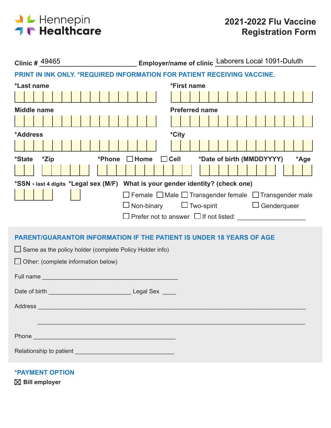

| Employer/name of clinic Laborers Local 1091-Duluth<br>Clinic # 49465                                                                                                                                                                |
|-------------------------------------------------------------------------------------------------------------------------------------------------------------------------------------------------------------------------------------|
| PRINT IN INK ONLY. * REQUIRED INFORMATION FOR PATIENT RECEIVING VACCINE.                                                                                                                                                            |
| *Last name<br>*First name                                                                                                                                                                                                           |
|                                                                                                                                                                                                                                     |
| <b>Preferred name</b><br><b>Middle name</b>                                                                                                                                                                                         |
|                                                                                                                                                                                                                                     |
| *City<br>*Address                                                                                                                                                                                                                   |
|                                                                                                                                                                                                                                     |
| $\Box$ Cell<br>*Date of birth (MMDDYYYY)<br>*Zip<br>$\Box$ Home<br><i><b>*State</b></i><br>*Phone<br>*Age                                                                                                                           |
|                                                                                                                                                                                                                                     |
| *SSN - last 4 digits *Legal sex (M/F) What is your gender identity? (check one)                                                                                                                                                     |
| $\Box$ Female $\Box$ Male $\Box$ Transgender female $\Box$ Transgender male                                                                                                                                                         |
| $\Box$ Two-spirit $\Box$ Genderqueer<br>$\Box$ Non-binary                                                                                                                                                                           |
|                                                                                                                                                                                                                                     |
| <b>PARENT/GUARANTOR INFORMATION IF THE PATIENT IS UNDER 18 YEARS OF AGE</b>                                                                                                                                                         |
| $\Box$ Same as the policy holder (complete Policy Holder info)                                                                                                                                                                      |
|                                                                                                                                                                                                                                     |
| $\Box$ Other: (complete information below)                                                                                                                                                                                          |
|                                                                                                                                                                                                                                     |
|                                                                                                                                                                                                                                     |
| Address and the contract of the contract of the contract of the contract of the contract of the contract of the contract of the contract of the contract of the contract of the contract of the contract of the contract of th      |
|                                                                                                                                                                                                                                     |
|                                                                                                                                                                                                                                     |
| Phone <b>Property of the Community of the Community</b> of the Community of the Community of the Community of the Community of the Community of the Community of the Community of the Community of the Community of the Community o |
|                                                                                                                                                                                                                                     |
|                                                                                                                                                                                                                                     |

**\*PAYMENT OPTION**

**Bill employer**